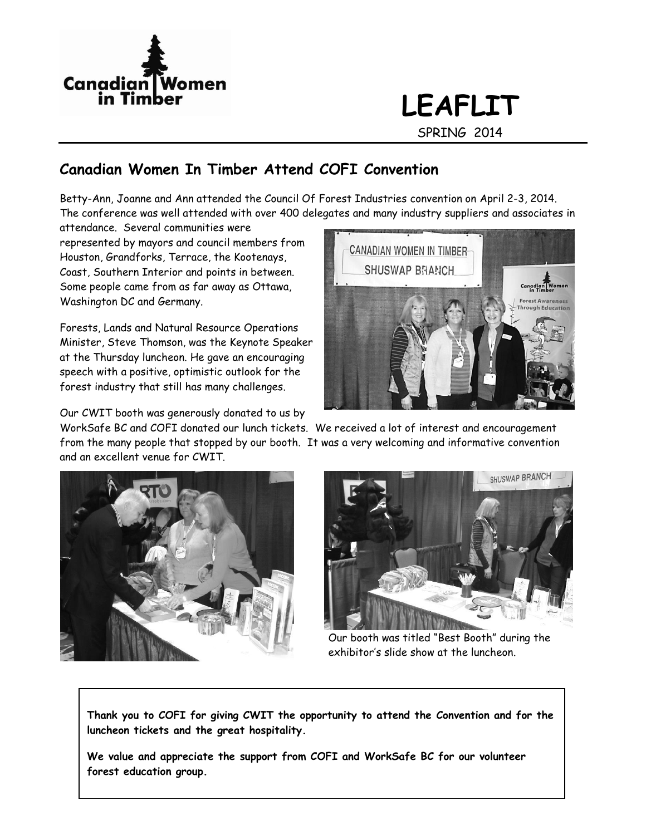

**LEAFLIT** SPRING 2014

#### **Canadian Women In Timber Attend COFI Convention**

Betty-Ann, Joanne and Ann attended the Council Of Forest Industries convention on April 2-3, 2014. The conference was well attended with over 400 delegates and many industry suppliers and associates in

attendance. Several communities were represented by mayors and council members from Houston, Grandforks, Terrace, the Kootenays, Coast, Southern Interior and points in between. Some people came from as far away as Ottawa, Washington DC and Germany.

Forests, Lands and Natural Resource Operations Minister, Steve Thomson, was the Keynote Speaker at the Thursday luncheon. He gave an encouraging speech with a positive, optimistic outlook for the forest industry that still has many challenges.

Our CWIT booth was generously donated to us by



WorkSafe BC and COFI donated our lunch tickets. We received a lot of interest and encouragement from the many people that stopped by our booth. It was a very welcoming and informative convention and an excellent venue for CWIT.





 Our booth was titled "Best Booth" during the exhibitor's slide show at the luncheon.

**Thank you to COFI for giving CWIT the opportunity to attend the Convention and for the luncheon tickets and the great hospitality.** 

**We value and appreciate the support from COFI and WorkSafe BC for our volunteer forest education group.**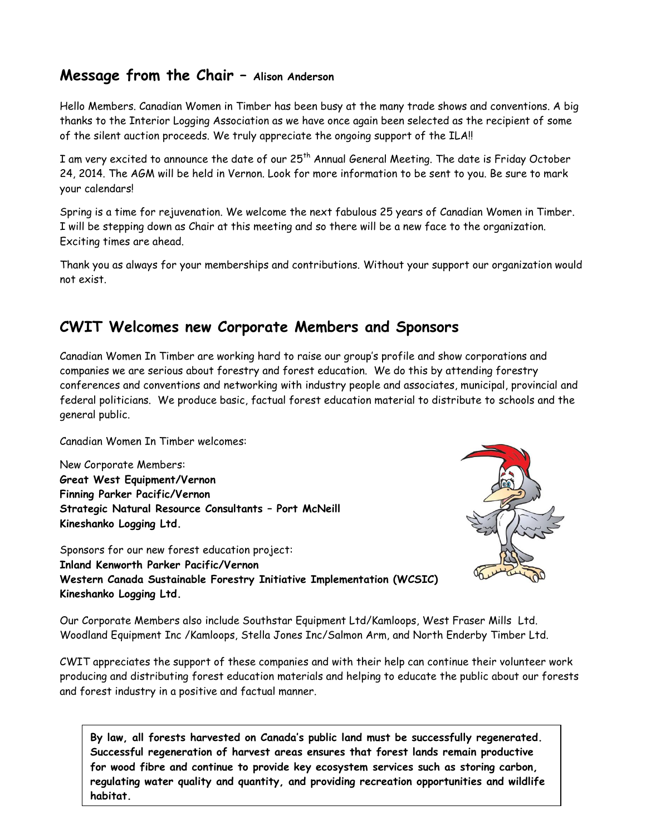#### **Message from the Chair – Alison Anderson**

Hello Members. Canadian Women in Timber has been busy at the many trade shows and conventions. A big thanks to the Interior Logging Association as we have once again been selected as the recipient of some of the silent auction proceeds. We truly appreciate the ongoing support of the ILA!!

I am very excited to announce the date of our 25<sup>th</sup> Annual General Meeting. The date is Friday October 24, 2014. The AGM will be held in Vernon. Look for more information to be sent to you. Be sure to mark your calendars!

Spring is a time for rejuvenation. We welcome the next fabulous 25 years of Canadian Women in Timber. I will be stepping down as Chair at this meeting and so there will be a new face to the organization. Exciting times are ahead.

Thank you as always for your memberships and contributions. Without your support our organization would not exist.

#### **CWIT Welcomes new Corporate Members and Sponsors**

Canadian Women In Timber are working hard to raise our group's profile and show corporations and companies we are serious about forestry and forest education. We do this by attending forestry conferences and conventions and networking with industry people and associates, municipal, provincial and federal politicians. We produce basic, factual forest education material to distribute to schools and the general public.

Canadian Women In Timber welcomes:

New Corporate Members: **Great West Equipment/Vernon Finning Parker Pacific/Vernon Strategic Natural Resource Consultants – Port McNeill Kineshanko Logging Ltd.**

Sponsors for our new forest education project: **Inland Kenworth Parker Pacific/Vernon Western Canada Sustainable Forestry Initiative Implementation (WCSIC) Kineshanko Logging Ltd.**



Our Corporate Members also include Southstar Equipment Ltd/Kamloops, West Fraser Mills Ltd. Woodland Equipment Inc /Kamloops, Stella Jones Inc/Salmon Arm, and North Enderby Timber Ltd.

CWIT appreciates the support of these companies and with their help can continue their volunteer work producing and distributing forest education materials and helping to educate the public about our forests and forest industry in a positive and factual manner.

**By law, all forests harvested on Canada's public land must be successfully regenerated. Successful regeneration of harvest areas ensures that forest lands remain productive for wood fibre and continue to provide key ecosystem services such as storing carbon, regulating water quality and quantity, and providing recreation opportunities and wildlife habitat.**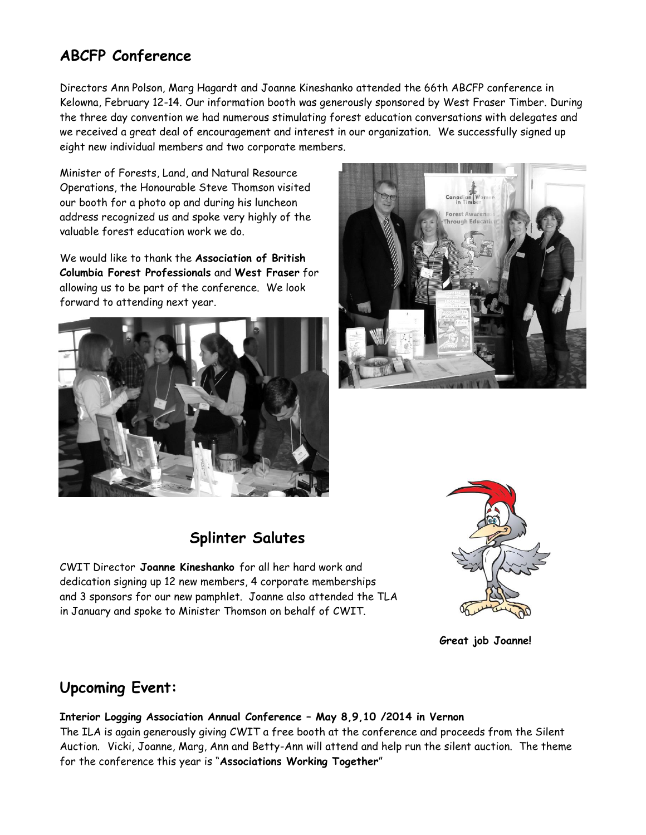# **ABCFP Conference**

Directors Ann Polson, Marg Hagardt and Joanne Kineshanko attended the 66th ABCFP conference in Kelowna, February 12-14. Our information booth was generously sponsored by West Fraser Timber. During the three day convention we had numerous stimulating forest education conversations with delegates and we received a great deal of encouragement and interest in our organization. We successfully signed up eight new individual members and two corporate members.

Minister of Forests, Land, and Natural Resource Operations, the Honourable Steve Thomson visited our booth for a photo op and during his luncheon address recognized us and spoke very highly of the valuable forest education work we do.

We would like to thank the **Association of British Columbia Forest Professionals** and **West Fraser** for allowing us to be part of the conference. We look forward to attending next year.





### **Splinter Salutes**

CWIT Director **Joanne Kineshanko** for all her hard work and dedication signing up 12 new members, 4 corporate memberships and 3 sponsors for our new pamphlet. Joanne also attended the TLA in January and spoke to Minister Thomson on behalf of CWIT.



**Great job Joanne!**

#### **Upcoming Event:**

#### **Interior Logging Association Annual Conference – May 8,9,10 /2014 in Vernon**

The ILA is again generously giving CWIT a free booth at the conference and proceeds from the Silent Auction. Vicki, Joanne, Marg, Ann and Betty-Ann will attend and help run the silent auction. The theme for the conference this year is "**Associations Working Together**"